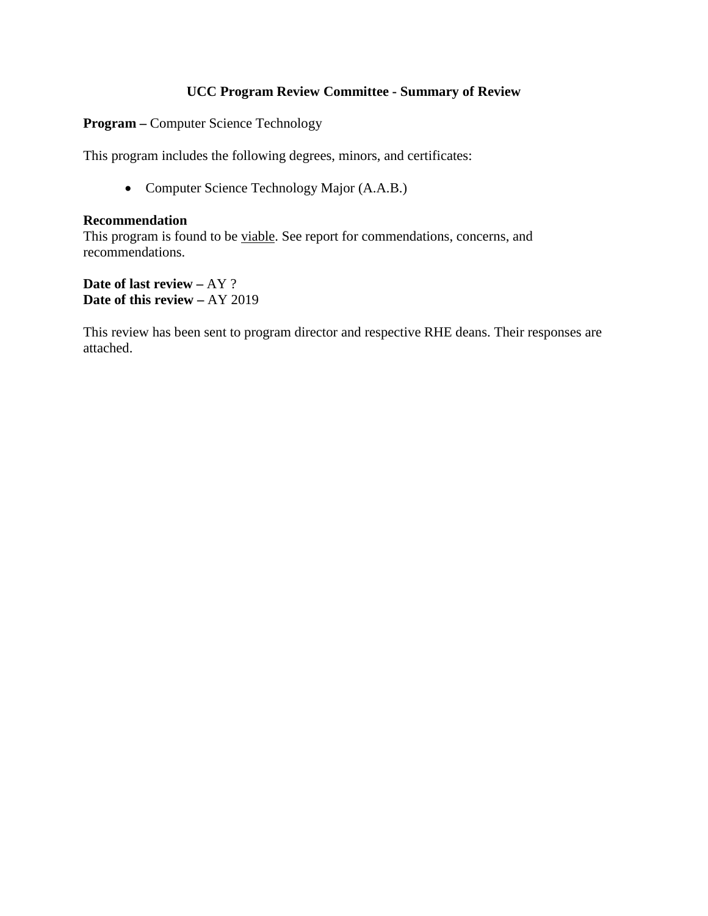# **UCC Program Review Committee - Summary of Review**

**Program –** Computer Science Technology

This program includes the following degrees, minors, and certificates:

• Computer Science Technology Major (A.A.B.)

# **Recommendation**

This program is found to be viable. See report for commendations, concerns, and recommendations.

**Date of last review –** AY ? **Date of this review –** AY 2019

This review has been sent to program director and respective RHE deans. Their responses are attached.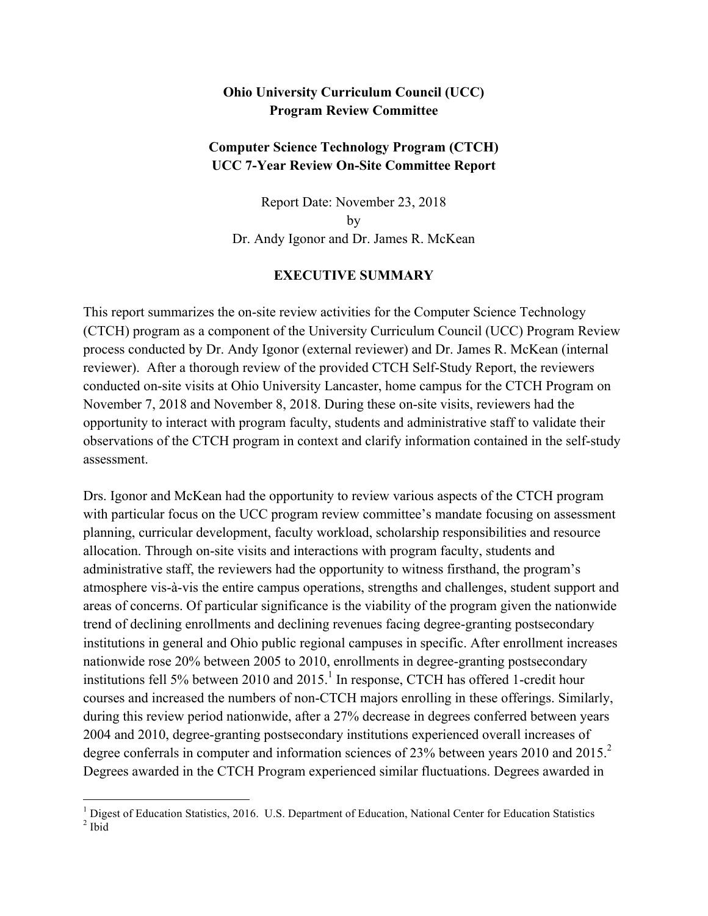# **Ohio University Curriculum Council (UCC) Program Review Committee**

# **Computer Science Technology Program (CTCH) UCC 7-Year Review On-Site Committee Report**

Report Date: November 23, 2018 by Dr. Andy Igonor and Dr. James R. McKean

# **EXECUTIVE SUMMARY**

This report summarizes the on-site review activities for the Computer Science Technology (CTCH) program as a component of the University Curriculum Council (UCC) Program Review process conducted by Dr. Andy Igonor (external reviewer) and Dr. James R. McKean (internal reviewer). After a thorough review of the provided CTCH Self-Study Report, the reviewers conducted on-site visits at Ohio University Lancaster, home campus for the CTCH Program on November 7, 2018 and November 8, 2018. During these on-site visits, reviewers had the opportunity to interact with program faculty, students and administrative staff to validate their observations of the CTCH program in context and clarify information contained in the self-study assessment.

Drs. Igonor and McKean had the opportunity to review various aspects of the CTCH program with particular focus on the UCC program review committee's mandate focusing on assessment planning, curricular development, faculty workload, scholarship responsibilities and resource allocation. Through on-site visits and interactions with program faculty, students and administrative staff, the reviewers had the opportunity to witness firsthand, the program's atmosphere vis-à-vis the entire campus operations, strengths and challenges, student support and areas of concerns. Of particular significance is the viability of the program given the nationwide trend of declining enrollments and declining revenues facing degree-granting postsecondary institutions in general and Ohio public regional campuses in specific. After enrollment increases nationwide rose 20% between 2005 to 2010, enrollments in degree-granting postsecondary institutions fell 5% between 2010 and 2015.<sup>1</sup> In response, CTCH has offered 1-credit hour courses and increased the numbers of non-CTCH majors enrolling in these offerings. Similarly, during this review period nationwide, after a 27% decrease in degrees conferred between years 2004 and 2010, degree-granting postsecondary institutions experienced overall increases of degree conferrals in computer and information sciences of 23% between years 2010 and 2015.<sup>2</sup> Degrees awarded in the CTCH Program experienced similar fluctuations. Degrees awarded in

<sup>&</sup>lt;sup>1</sup> Digest of Education Statistics, 2016. U.S. Department of Education, National Center for Education Statistics  $2$  Ibid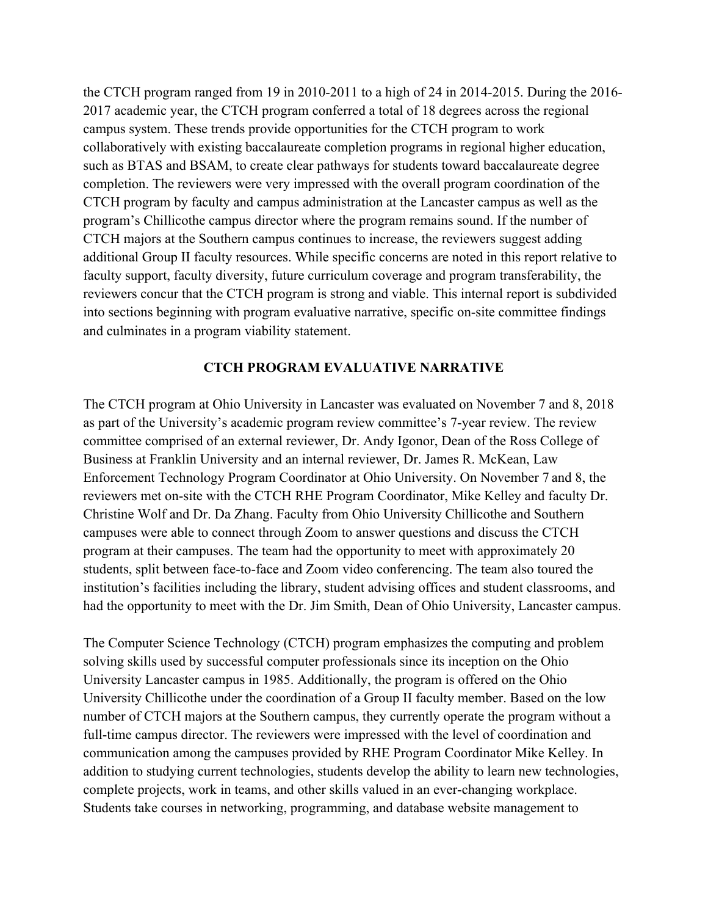the CTCH program ranged from 19 in 2010-2011 to a high of 24 in 2014-2015. During the 2016- 2017 academic year, the CTCH program conferred a total of 18 degrees across the regional campus system. These trends provide opportunities for the CTCH program to work collaboratively with existing baccalaureate completion programs in regional higher education, such as BTAS and BSAM, to create clear pathways for students toward baccalaureate degree completion. The reviewers were very impressed with the overall program coordination of the CTCH program by faculty and campus administration at the Lancaster campus as well as the program's Chillicothe campus director where the program remains sound. If the number of CTCH majors at the Southern campus continues to increase, the reviewers suggest adding additional Group II faculty resources. While specific concerns are noted in this report relative to faculty support, faculty diversity, future curriculum coverage and program transferability, the reviewers concur that the CTCH program is strong and viable. This internal report is subdivided into sections beginning with program evaluative narrative, specific on-site committee findings and culminates in a program viability statement.

# **CTCH PROGRAM EVALUATIVE NARRATIVE**

The CTCH program at Ohio University in Lancaster was evaluated on November 7 and 8, 2018 as part of the University's academic program review committee's 7-year review. The review committee comprised of an external reviewer, Dr. Andy Igonor, Dean of the Ross College of Business at Franklin University and an internal reviewer, Dr. James R. McKean, Law Enforcement Technology Program Coordinator at Ohio University. On November 7 and 8, the reviewers met on-site with the CTCH RHE Program Coordinator, Mike Kelley and faculty Dr. Christine Wolf and Dr. Da Zhang. Faculty from Ohio University Chillicothe and Southern campuses were able to connect through Zoom to answer questions and discuss the CTCH program at their campuses. The team had the opportunity to meet with approximately 20 students, split between face-to-face and Zoom video conferencing. The team also toured the institution's facilities including the library, student advising offices and student classrooms, and had the opportunity to meet with the Dr. Jim Smith, Dean of Ohio University, Lancaster campus.

The Computer Science Technology (CTCH) program emphasizes the computing and problem solving skills used by successful computer professionals since its inception on the Ohio University Lancaster campus in 1985. Additionally, the program is offered on the Ohio University Chillicothe under the coordination of a Group II faculty member. Based on the low number of CTCH majors at the Southern campus, they currently operate the program without a full-time campus director. The reviewers were impressed with the level of coordination and communication among the campuses provided by RHE Program Coordinator Mike Kelley. In addition to studying current technologies, students develop the ability to learn new technologies, complete projects, work in teams, and other skills valued in an ever-changing workplace. Students take courses in networking, programming, and database website management to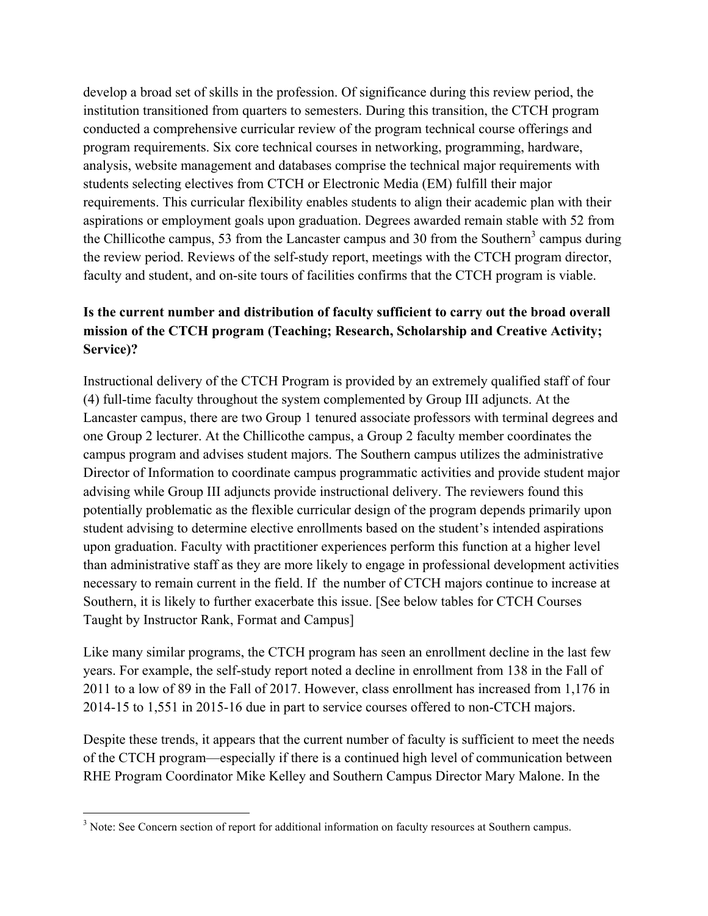develop a broad set of skills in the profession. Of significance during this review period, the institution transitioned from quarters to semesters. During this transition, the CTCH program conducted a comprehensive curricular review of the program technical course offerings and program requirements. Six core technical courses in networking, programming, hardware, analysis, website management and databases comprise the technical major requirements with students selecting electives from CTCH or Electronic Media (EM) fulfill their major requirements. This curricular flexibility enables students to align their academic plan with their aspirations or employment goals upon graduation. Degrees awarded remain stable with 52 from the Chillicothe campus, 53 from the Lancaster campus and 30 from the Southern<sup>3</sup> campus during the review period. Reviews of the self-study report, meetings with the CTCH program director, faculty and student, and on-site tours of facilities confirms that the CTCH program is viable.

# **Is the current number and distribution of faculty sufficient to carry out the broad overall mission of the CTCH program (Teaching; Research, Scholarship and Creative Activity; Service)?**

Instructional delivery of the CTCH Program is provided by an extremely qualified staff of four (4) full-time faculty throughout the system complemented by Group III adjuncts. At the Lancaster campus, there are two Group 1 tenured associate professors with terminal degrees and one Group 2 lecturer. At the Chillicothe campus, a Group 2 faculty member coordinates the campus program and advises student majors. The Southern campus utilizes the administrative Director of Information to coordinate campus programmatic activities and provide student major advising while Group III adjuncts provide instructional delivery. The reviewers found this potentially problematic as the flexible curricular design of the program depends primarily upon student advising to determine elective enrollments based on the student's intended aspirations upon graduation. Faculty with practitioner experiences perform this function at a higher level than administrative staff as they are more likely to engage in professional development activities necessary to remain current in the field. If the number of CTCH majors continue to increase at Southern, it is likely to further exacerbate this issue. [See below tables for CTCH Courses Taught by Instructor Rank, Format and Campus]

Like many similar programs, the CTCH program has seen an enrollment decline in the last few years. For example, the self-study report noted a decline in enrollment from 138 in the Fall of 2011 to a low of 89 in the Fall of 2017. However, class enrollment has increased from 1,176 in 2014-15 to 1,551 in 2015-16 due in part to service courses offered to non-CTCH majors.

Despite these trends, it appears that the current number of faculty is sufficient to meet the needs of the CTCH program—especially if there is a continued high level of communication between RHE Program Coordinator Mike Kelley and Southern Campus Director Mary Malone. In the

<sup>&</sup>lt;sup>3</sup> Note: See Concern section of report for additional information on faculty resources at Southern campus.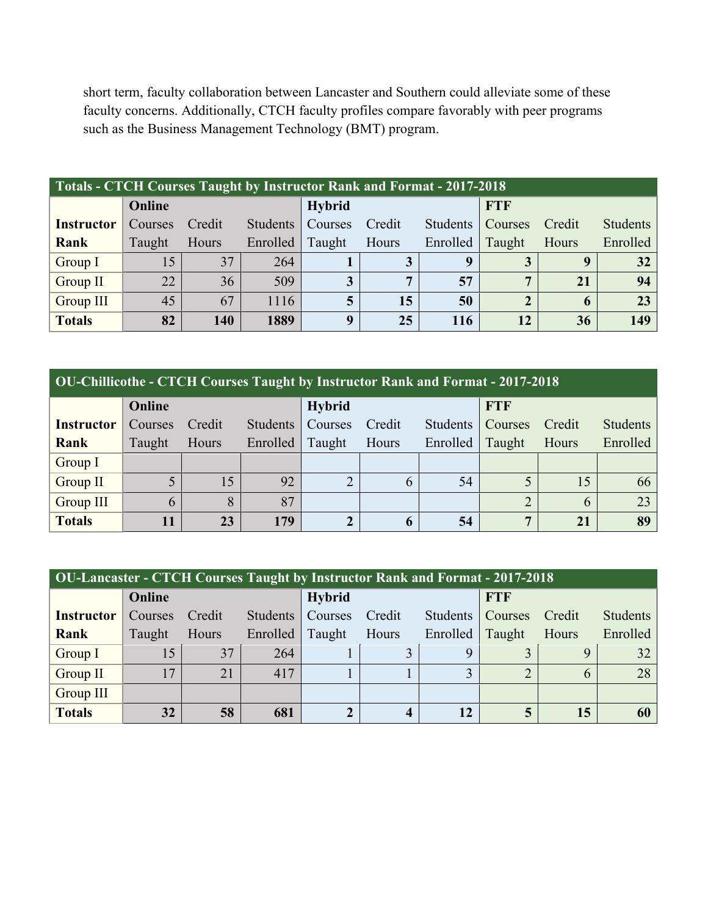short term, faculty collaboration between Lancaster and Southern could alleviate some of these faculty concerns. Additionally, CTCH faculty profiles compare favorably with peer programs such as the Business Management Technology (BMT) program.

| Totals - CTCH Courses Taught by Instructor Rank and Format - 2017-2018 |         |        |                 |                |        |                 |                |        |                 |  |
|------------------------------------------------------------------------|---------|--------|-----------------|----------------|--------|-----------------|----------------|--------|-----------------|--|
|                                                                        | Online  |        |                 | Hybrid         |        |                 | <b>FTF</b>     |        |                 |  |
| <b>Instructor</b>                                                      | Courses | Credit | <b>Students</b> | Courses        | Credit | <b>Students</b> | Courses        | Credit | <b>Students</b> |  |
| Rank                                                                   | Taught  | Hours  | Enrolled        | Taught         | Hours  | Enrolled        | Taught         | Hours  | Enrolled        |  |
| Group I                                                                | 15      | 37     | 264             |                | 3      | q               |                | 9      | 32              |  |
| Group II                                                               | 22      | 36     | 509             | $\overline{3}$ | 7      | 57              | 7              | 21     | 94              |  |
| Group III                                                              | 45      | 67     | 1116            | 5              | 15     | 50              | $\overline{2}$ | 6      | 23              |  |
| <b>Totals</b>                                                          | 82      | 140    | 1889            | $\mathbf q$    | 25     | 116             | 12             | 36     | 149             |  |

| <b>OU-Chillicothe - CTCH Courses Taught by Instructor Rank and Format - 2017-2018</b> |         |        |                 |                |        |                 |            |        |                 |  |
|---------------------------------------------------------------------------------------|---------|--------|-----------------|----------------|--------|-----------------|------------|--------|-----------------|--|
|                                                                                       | Online  |        |                 | <b>Hybrid</b>  |        |                 | <b>FTF</b> |        |                 |  |
| <b>Instructor</b>                                                                     | Courses | Credit | <b>Students</b> | Courses        | Credit | <b>Students</b> | Courses    | Credit | <b>Students</b> |  |
| Rank                                                                                  | Taught  | Hours  | Enrolled        | Taught         | Hours  | Enrolled        | Taught     | Hours  | Enrolled        |  |
| Group I                                                                               |         |        |                 |                |        |                 |            |        |                 |  |
| Group II                                                                              | 5       | 15     | 92              | $\overline{2}$ | 6      | 54              |            | 15     | 66              |  |
| <b>Group III</b>                                                                      | 6       | 8      | 87              |                |        |                 | C          | 6      | 23              |  |
| <b>Totals</b>                                                                         | 11      | 23     | 179             |                | 6      | 54              | 7          | 21     | 89              |  |

| <b>OU-Lancaster - CTCH Courses Taught by Instructor Rank and Format - 2017-2018</b> |         |        |                 |                |                         |          |            |        |                 |  |
|-------------------------------------------------------------------------------------|---------|--------|-----------------|----------------|-------------------------|----------|------------|--------|-----------------|--|
|                                                                                     | Online  |        |                 | <b>Hybrid</b>  |                         |          | <b>FTF</b> |        |                 |  |
| <b>Instructor</b>                                                                   | Courses | Credit | <b>Students</b> | <b>Courses</b> | Credit                  | Students | Courses    | Credit | <b>Students</b> |  |
| Rank                                                                                | Taught  | Hours  | Enrolled        | Taught         | Hours                   | Enrolled | Taught     | Hours  | Enrolled        |  |
| Group I                                                                             | 15      | 37     | 264             |                |                         | Q        |            | Q      | 32              |  |
| Group II                                                                            | 17      | 21     | 417             |                |                         | ◠        |            | 6      | 28              |  |
| Group III                                                                           |         |        |                 |                |                         |          |            |        |                 |  |
| <b>Totals</b>                                                                       | 32      | 58     | 681             | $\overline{2}$ | $\overline{\mathbf{4}}$ | 12       | 5          | 15     | 60              |  |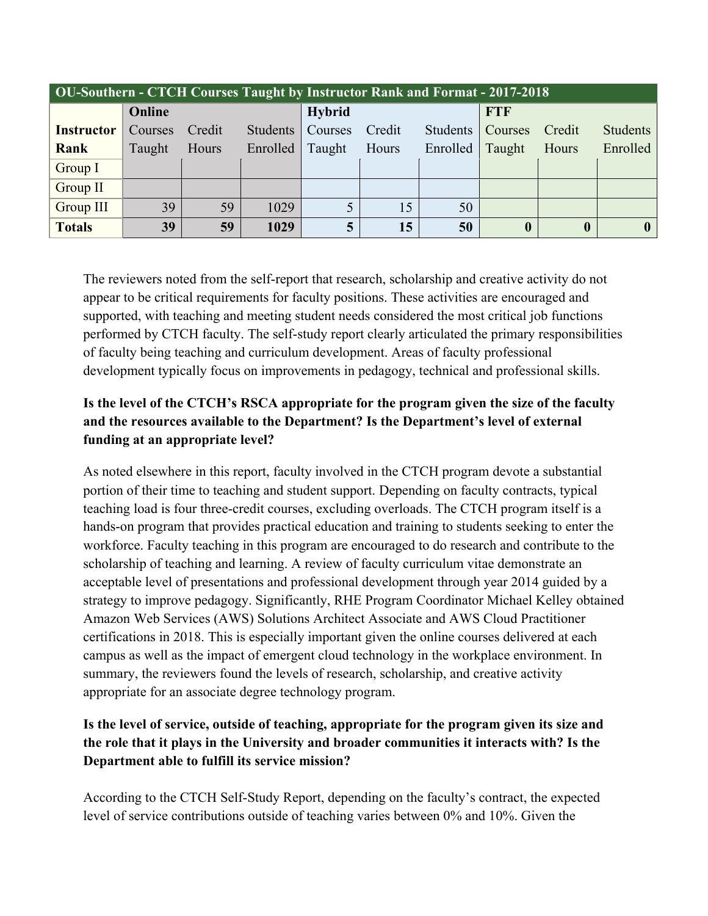| <b>OU-Southern - CTCH Courses Taught by Instructor Rank and Format - 2017-2018</b> |                |        |                 |               |        |                 |                  |                  |                 |  |
|------------------------------------------------------------------------------------|----------------|--------|-----------------|---------------|--------|-----------------|------------------|------------------|-----------------|--|
|                                                                                    | Online         |        |                 | <b>Hybrid</b> |        |                 | <b>FTF</b>       |                  |                 |  |
| <b>Instructor</b>                                                                  | <b>Courses</b> | Credit | <b>Students</b> | Courses       | Credit | <b>Students</b> | <b>Courses</b>   | Credit           | <b>Students</b> |  |
| Rank                                                                               | Taught         | Hours  | Enrolled        | Taught        | Hours  | Enrolled        | Taught           | Hours            | Enrolled        |  |
| Group I                                                                            |                |        |                 |               |        |                 |                  |                  |                 |  |
| Group II                                                                           |                |        |                 |               |        |                 |                  |                  |                 |  |
| Group III                                                                          | 39             | 59     | 1029            |               | 15     | 50              |                  |                  |                 |  |
| <b>Totals</b>                                                                      | 39             | 59     | 1029            | 5             | 15     | 50              | $\boldsymbol{0}$ | $\boldsymbol{0}$ |                 |  |

The reviewers noted from the self-report that research, scholarship and creative activity do not appear to be critical requirements for faculty positions. These activities are encouraged and supported, with teaching and meeting student needs considered the most critical job functions performed by CTCH faculty. The self-study report clearly articulated the primary responsibilities of faculty being teaching and curriculum development. Areas of faculty professional development typically focus on improvements in pedagogy, technical and professional skills.

# **Is the level of the CTCH's RSCA appropriate for the program given the size of the faculty and the resources available to the Department? Is the Department's level of external funding at an appropriate level?**

As noted elsewhere in this report, faculty involved in the CTCH program devote a substantial portion of their time to teaching and student support. Depending on faculty contracts, typical teaching load is four three-credit courses, excluding overloads. The CTCH program itself is a hands-on program that provides practical education and training to students seeking to enter the workforce. Faculty teaching in this program are encouraged to do research and contribute to the scholarship of teaching and learning. A review of faculty curriculum vitae demonstrate an acceptable level of presentations and professional development through year 2014 guided by a strategy to improve pedagogy. Significantly, RHE Program Coordinator Michael Kelley obtained Amazon Web Services (AWS) Solutions Architect Associate and AWS Cloud Practitioner certifications in 2018. This is especially important given the online courses delivered at each campus as well as the impact of emergent cloud technology in the workplace environment. In summary, the reviewers found the levels of research, scholarship, and creative activity appropriate for an associate degree technology program.

# **Is the level of service, outside of teaching, appropriate for the program given its size and the role that it plays in the University and broader communities it interacts with? Is the Department able to fulfill its service mission?**

According to the CTCH Self-Study Report, depending on the faculty's contract, the expected level of service contributions outside of teaching varies between 0% and 10%. Given the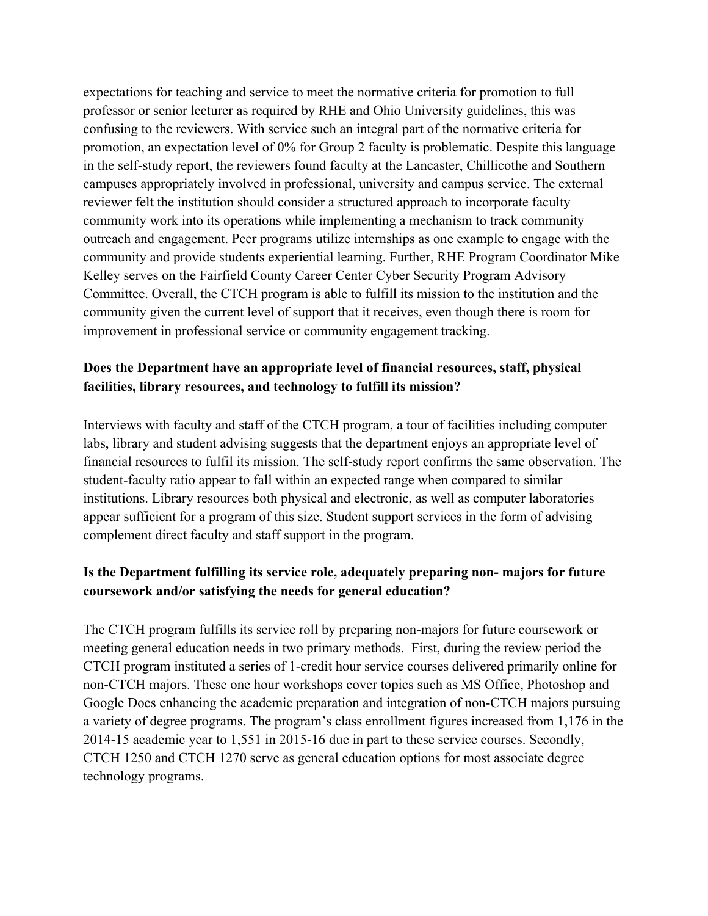expectations for teaching and service to meet the normative criteria for promotion to full professor or senior lecturer as required by RHE and Ohio University guidelines, this was confusing to the reviewers. With service such an integral part of the normative criteria for promotion, an expectation level of 0% for Group 2 faculty is problematic. Despite this language in the self-study report, the reviewers found faculty at the Lancaster, Chillicothe and Southern campuses appropriately involved in professional, university and campus service. The external reviewer felt the institution should consider a structured approach to incorporate faculty community work into its operations while implementing a mechanism to track community outreach and engagement. Peer programs utilize internships as one example to engage with the community and provide students experiential learning. Further, RHE Program Coordinator Mike Kelley serves on the Fairfield County Career Center Cyber Security Program Advisory Committee. Overall, the CTCH program is able to fulfill its mission to the institution and the community given the current level of support that it receives, even though there is room for improvement in professional service or community engagement tracking.

# **Does the Department have an appropriate level of financial resources, staff, physical facilities, library resources, and technology to fulfill its mission?**

Interviews with faculty and staff of the CTCH program, a tour of facilities including computer labs, library and student advising suggests that the department enjoys an appropriate level of financial resources to fulfil its mission. The self-study report confirms the same observation. The student-faculty ratio appear to fall within an expected range when compared to similar institutions. Library resources both physical and electronic, as well as computer laboratories appear sufficient for a program of this size. Student support services in the form of advising complement direct faculty and staff support in the program.

# **Is the Department fulfilling its service role, adequately preparing non- majors for future coursework and/or satisfying the needs for general education?**

The CTCH program fulfills its service roll by preparing non-majors for future coursework or meeting general education needs in two primary methods. First, during the review period the CTCH program instituted a series of 1-credit hour service courses delivered primarily online for non-CTCH majors. These one hour workshops cover topics such as MS Office, Photoshop and Google Docs enhancing the academic preparation and integration of non-CTCH majors pursuing a variety of degree programs. The program's class enrollment figures increased from 1,176 in the 2014-15 academic year to 1,551 in 2015-16 due in part to these service courses. Secondly, CTCH 1250 and CTCH 1270 serve as general education options for most associate degree technology programs.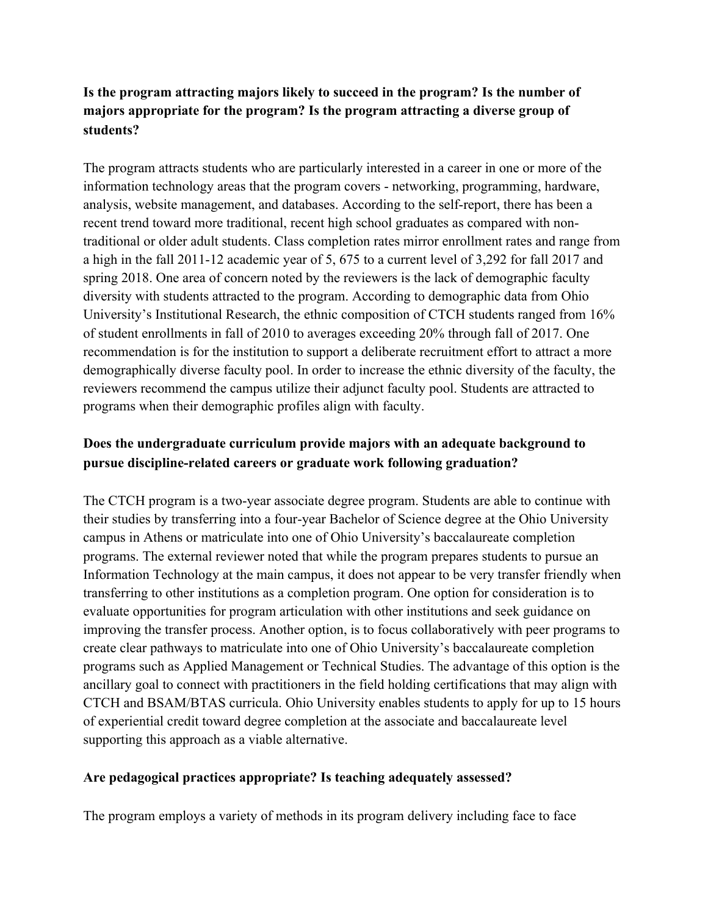# **Is the program attracting majors likely to succeed in the program? Is the number of majors appropriate for the program? Is the program attracting a diverse group of students?**

The program attracts students who are particularly interested in a career in one or more of the information technology areas that the program covers - networking, programming, hardware, analysis, website management, and databases. According to the self-report, there has been a recent trend toward more traditional, recent high school graduates as compared with nontraditional or older adult students. Class completion rates mirror enrollment rates and range from a high in the fall 2011-12 academic year of 5, 675 to a current level of 3,292 for fall 2017 and spring 2018. One area of concern noted by the reviewers is the lack of demographic faculty diversity with students attracted to the program. According to demographic data from Ohio University's Institutional Research, the ethnic composition of CTCH students ranged from 16% of student enrollments in fall of 2010 to averages exceeding 20% through fall of 2017. One recommendation is for the institution to support a deliberate recruitment effort to attract a more demographically diverse faculty pool. In order to increase the ethnic diversity of the faculty, the reviewers recommend the campus utilize their adjunct faculty pool. Students are attracted to programs when their demographic profiles align with faculty.

# **Does the undergraduate curriculum provide majors with an adequate background to pursue discipline-related careers or graduate work following graduation?**

The CTCH program is a two-year associate degree program. Students are able to continue with their studies by transferring into a four-year Bachelor of Science degree at the Ohio University campus in Athens or matriculate into one of Ohio University's baccalaureate completion programs. The external reviewer noted that while the program prepares students to pursue an Information Technology at the main campus, it does not appear to be very transfer friendly when transferring to other institutions as a completion program. One option for consideration is to evaluate opportunities for program articulation with other institutions and seek guidance on improving the transfer process. Another option, is to focus collaboratively with peer programs to create clear pathways to matriculate into one of Ohio University's baccalaureate completion programs such as Applied Management or Technical Studies. The advantage of this option is the ancillary goal to connect with practitioners in the field holding certifications that may align with CTCH and BSAM/BTAS curricula. Ohio University enables students to apply for up to 15 hours of experiential credit toward degree completion at the associate and baccalaureate level supporting this approach as a viable alternative.

# **Are pedagogical practices appropriate? Is teaching adequately assessed?**

The program employs a variety of methods in its program delivery including face to face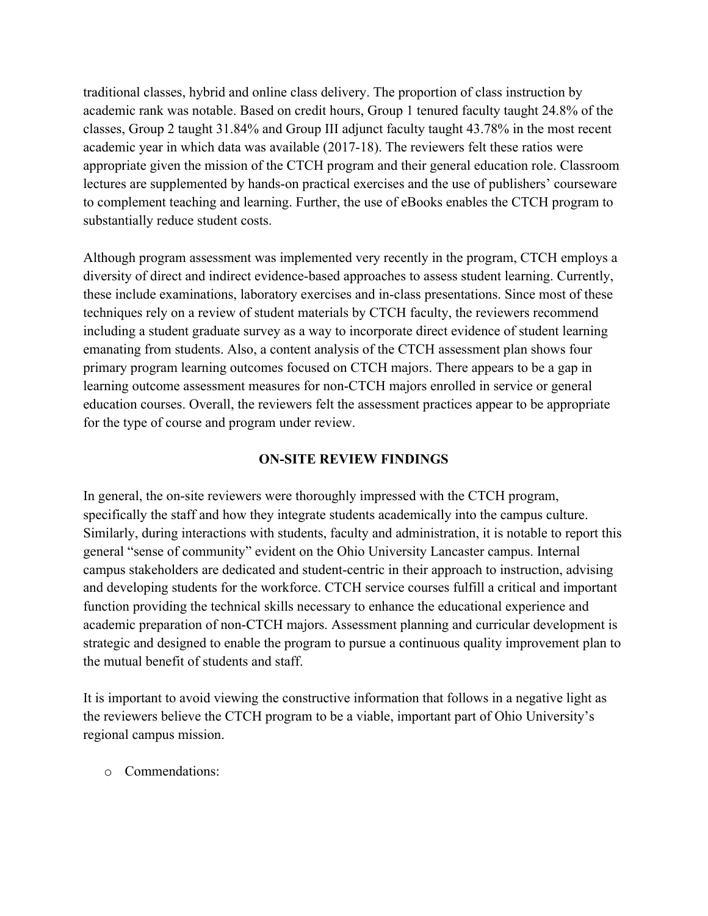traditional classes, hybrid and online class delivery. The proportion of class instruction by academic rank was notable. Based on credit hours, Group 1 tenured faculty taught 24.8% of the classes, Group 2 taught 31.84% and Group III adjunct faculty taught 43.78% in the most recent academic year in which data was available (2017-18). The reviewers felt these ratios were appropriate given the mission of the CTCH program and their general education role. Classroom lectures are supplemented by hands-on practical exercises and the use of publishers' courseware to complement teaching and learning. Further, the use of eBooks enables the CTCH program to substantially reduce student costs.

Although program assessment was implemented very recently in the program, CTCH employs a diversity of direct and indirect evidence-based approaches to assess student learning. Currently, these include examinations, laboratory exercises and in-class presentations. Since most of these techniques rely on a review of student materials by CTCH faculty, the reviewers recommend including a student graduate survey as a way to incorporate direct evidence of student learning emanating from students. Also, a content analysis of the CTCH assessment plan shows four primary program learning outcomes focused on CTCH majors. There appears to be a gap in learning outcome assessment measures for non-CTCH majors enrolled in service or general education courses. Overall, the reviewers felt the assessment practices appear to be appropriate for the type of course and program under review.

# **ON-SITE REVIEW FINDINGS**

In general, the on-site reviewers were thoroughly impressed with the CTCH program, specifically the staff and how they integrate students academically into the campus culture. Similarly, during interactions with students, faculty and administration, it is notable to report this general "sense of community" evident on the Ohio University Lancaster campus. Internal campus stakeholders are dedicated and student-centric in their approach to instruction, advising and developing students for the workforce. CTCH service courses fulfill a critical and important function providing the technical skills necessary to enhance the educational experience and academic preparation of non-CTCH majors. Assessment planning and curricular development is strategic and designed to enable the program to pursue a continuous quality improvement plan to the mutual benefit of students and staff.

It is important to avoid viewing the constructive information that follows in a negative light as the reviewers believe the CTCH program to be a viable, important part of Ohio University's regional campus mission.

o Commendations: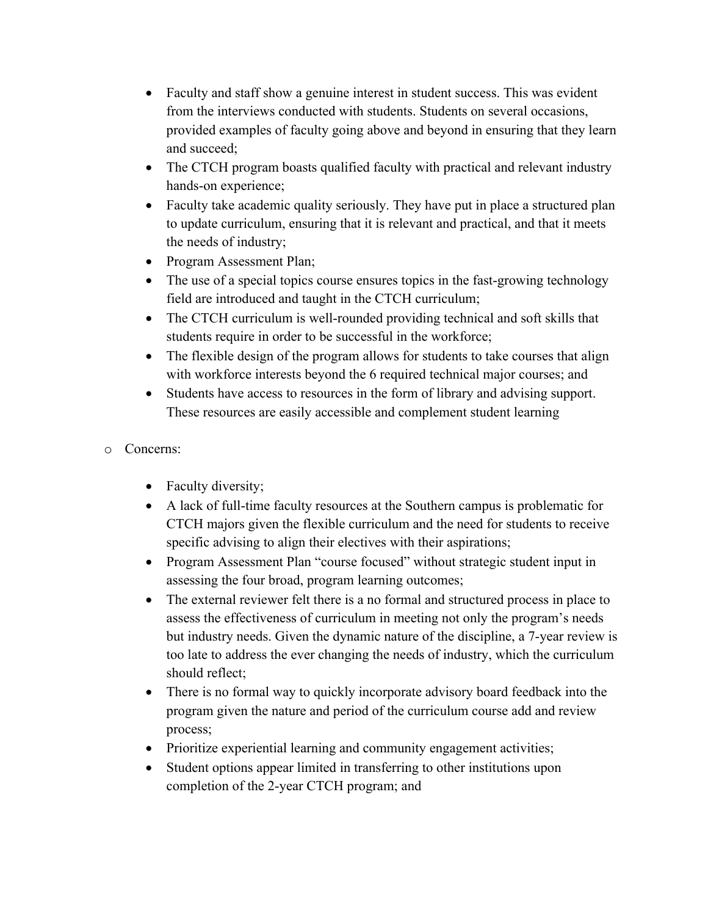- Faculty and staff show a genuine interest in student success. This was evident from the interviews conducted with students. Students on several occasions, provided examples of faculty going above and beyond in ensuring that they learn and succeed;
- The CTCH program boasts qualified faculty with practical and relevant industry hands-on experience;
- Faculty take academic quality seriously. They have put in place a structured plan to update curriculum, ensuring that it is relevant and practical, and that it meets the needs of industry;
- Program Assessment Plan;
- The use of a special topics course ensures topics in the fast-growing technology field are introduced and taught in the CTCH curriculum;
- The CTCH curriculum is well-rounded providing technical and soft skills that students require in order to be successful in the workforce;
- The flexible design of the program allows for students to take courses that align with workforce interests beyond the 6 required technical major courses; and
- Students have access to resources in the form of library and advising support. These resources are easily accessible and complement student learning

# o Concerns:

- Faculty diversity;
- A lack of full-time faculty resources at the Southern campus is problematic for CTCH majors given the flexible curriculum and the need for students to receive specific advising to align their electives with their aspirations;
- Program Assessment Plan "course focused" without strategic student input in assessing the four broad, program learning outcomes;
- The external reviewer felt there is a no formal and structured process in place to assess the effectiveness of curriculum in meeting not only the program's needs but industry needs. Given the dynamic nature of the discipline, a 7-year review is too late to address the ever changing the needs of industry, which the curriculum should reflect;
- There is no formal way to quickly incorporate advisory board feedback into the program given the nature and period of the curriculum course add and review process;
- Prioritize experiential learning and community engagement activities;
- Student options appear limited in transferring to other institutions upon completion of the 2-year CTCH program; and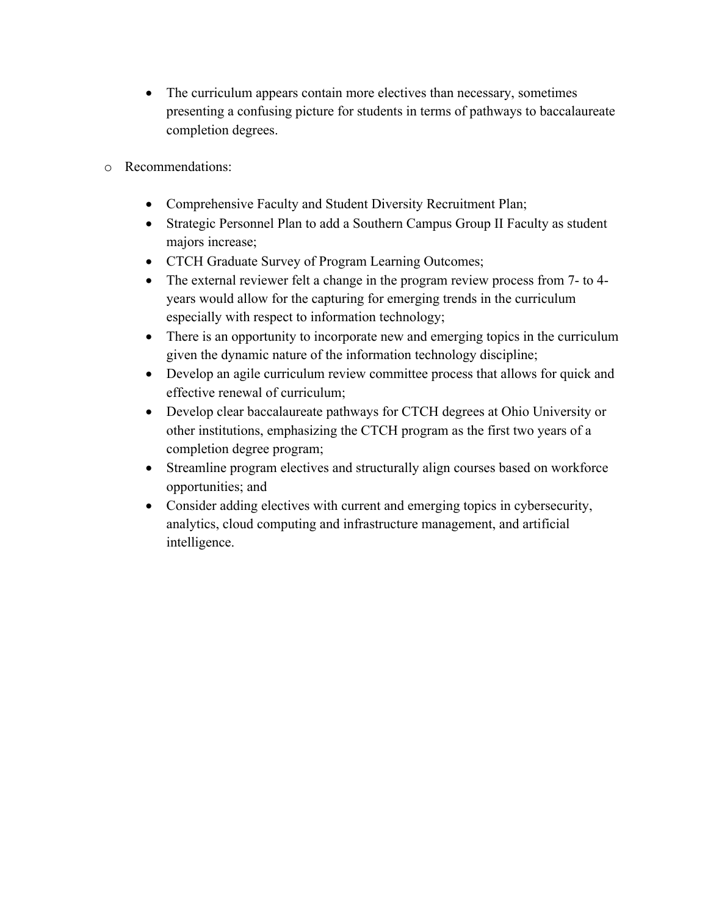- The curriculum appears contain more electives than necessary, sometimes presenting a confusing picture for students in terms of pathways to baccalaureate completion degrees.
- o Recommendations:
	- Comprehensive Faculty and Student Diversity Recruitment Plan;
	- Strategic Personnel Plan to add a Southern Campus Group II Faculty as student majors increase;
	- CTCH Graduate Survey of Program Learning Outcomes;
	- The external reviewer felt a change in the program review process from 7- to 4years would allow for the capturing for emerging trends in the curriculum especially with respect to information technology;
	- There is an opportunity to incorporate new and emerging topics in the curriculum given the dynamic nature of the information technology discipline;
	- Develop an agile curriculum review committee process that allows for quick and effective renewal of curriculum;
	- Develop clear baccalaureate pathways for CTCH degrees at Ohio University or other institutions, emphasizing the CTCH program as the first two years of a completion degree program;
	- Streamline program electives and structurally align courses based on workforce opportunities; and
	- Consider adding electives with current and emerging topics in cybersecurity, analytics, cloud computing and infrastructure management, and artificial intelligence.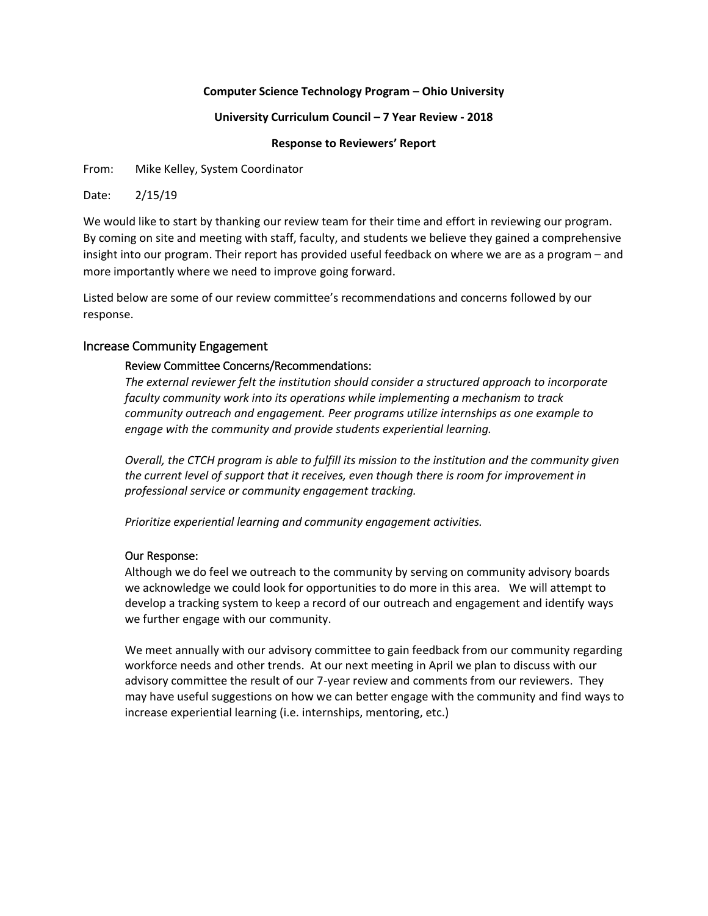## **Computer Science Technology Program – Ohio University**

### **University Curriculum Council – 7 Year Review - 2018**

**Response to Reviewers' Report**

From: Mike Kelley, System Coordinator

Date: 2/15/19

We would like to start by thanking our review team for their time and effort in reviewing our program. By coming on site and meeting with staff, faculty, and students we believe they gained a comprehensive insight into our program. Their report has provided useful feedback on where we are as a program – and more importantly where we need to improve going forward.

Listed below are some of our review committee's recommendations and concerns followed by our response.

# Increase Community Engagement

# Review Committee Concerns/Recommendations:

*The external reviewer felt the institution should consider a structured approach to incorporate faculty community work into its operations while implementing a mechanism to track community outreach and engagement. Peer programs utilize internships as one example to engage with the community and provide students experiential learning.*

*Overall, the CTCH program is able to fulfill its mission to the institution and the community given the current level of support that it receives, even though there is room for improvement in professional service or community engagement tracking.*

*Prioritize experiential learning and community engagement activities.*

# Our Response:

Although we do feel we outreach to the community by serving on community advisory boards we acknowledge we could look for opportunities to do more in this area. We will attempt to develop a tracking system to keep a record of our outreach and engagement and identify ways we further engage with our community.

We meet annually with our advisory committee to gain feedback from our community regarding workforce needs and other trends. At our next meeting in April we plan to discuss with our advisory committee the result of our 7-year review and comments from our reviewers. They may have useful suggestions on how we can better engage with the community and find ways to increase experiential learning (i.e. internships, mentoring, etc.)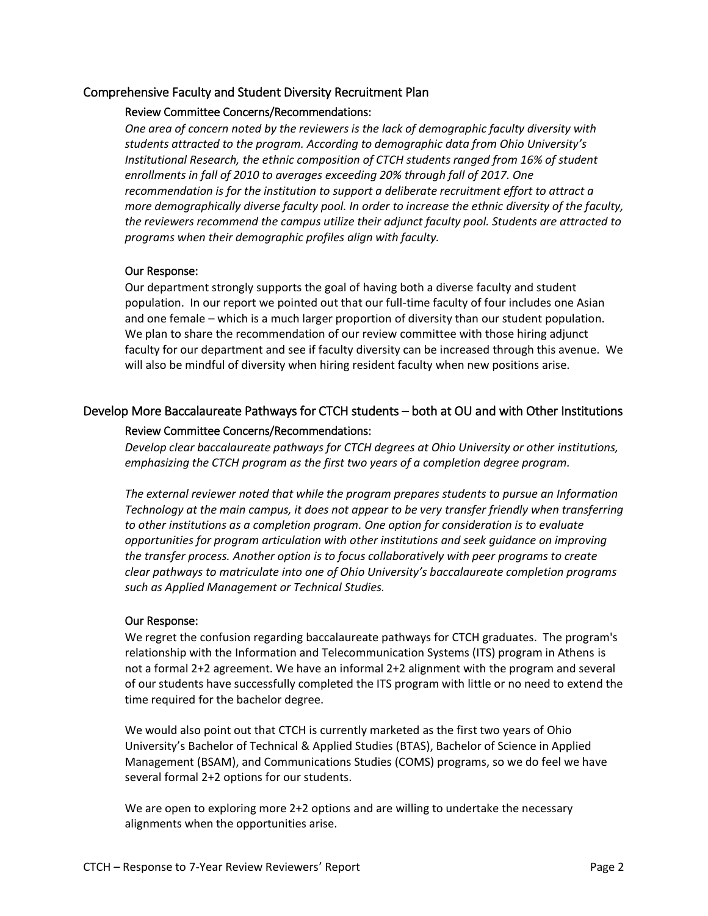# Comprehensive Faculty and Student Diversity Recruitment Plan

# Review Committee Concerns/Recommendations:

*One area of concern noted by the reviewers is the lack of demographic faculty diversity with students attracted to the program. According to demographic data from Ohio University's Institutional Research, the ethnic composition of CTCH students ranged from 16% of student enrollments in fall of 2010 to averages exceeding 20% through fall of 2017. One recommendation is for the institution to support a deliberate recruitment effort to attract a more demographically diverse faculty pool. In order to increase the ethnic diversity of the faculty, the reviewers recommend the campus utilize their adjunct faculty pool. Students are attracted to programs when their demographic profiles align with faculty.*

### Our Response:

Our department strongly supports the goal of having both a diverse faculty and student population. In our report we pointed out that our full-time faculty of four includes one Asian and one female – which is a much larger proportion of diversity than our student population. We plan to share the recommendation of our review committee with those hiring adjunct faculty for our department and see if faculty diversity can be increased through this avenue. We will also be mindful of diversity when hiring resident faculty when new positions arise.

# Develop More Baccalaureate Pathways for CTCH students – both at OU and with Other Institutions

### Review Committee Concerns/Recommendations:

*Develop clear baccalaureate pathways for CTCH degrees at Ohio University or other institutions, emphasizing the CTCH program as the first two years of a completion degree program.*

*The external reviewer noted that while the program prepares students to pursue an Information Technology at the main campus, it does not appear to be very transfer friendly when transferring to other institutions as a completion program. One option for consideration is to evaluate opportunities for program articulation with other institutions and seek guidance on improving the transfer process. Another option is to focus collaboratively with peer programs to create clear pathways to matriculate into one of Ohio University's baccalaureate completion programs such as Applied Management or Technical Studies.*

# Our Response:

We regret the confusion regarding baccalaureate pathways for CTCH graduates. The program's relationship with the Information and Telecommunication Systems (ITS) program in Athens is not a formal 2+2 agreement. We have an informal 2+2 alignment with the program and several of our students have successfully completed the ITS program with little or no need to extend the time required for the bachelor degree.

We would also point out that CTCH is currently marketed as the first two years of Ohio University's Bachelor of Technical & Applied Studies (BTAS), Bachelor of Science in Applied Management (BSAM), and Communications Studies (COMS) programs, so we do feel we have several formal 2+2 options for our students.

We are open to exploring more 2+2 options and are willing to undertake the necessary alignments when the opportunities arise.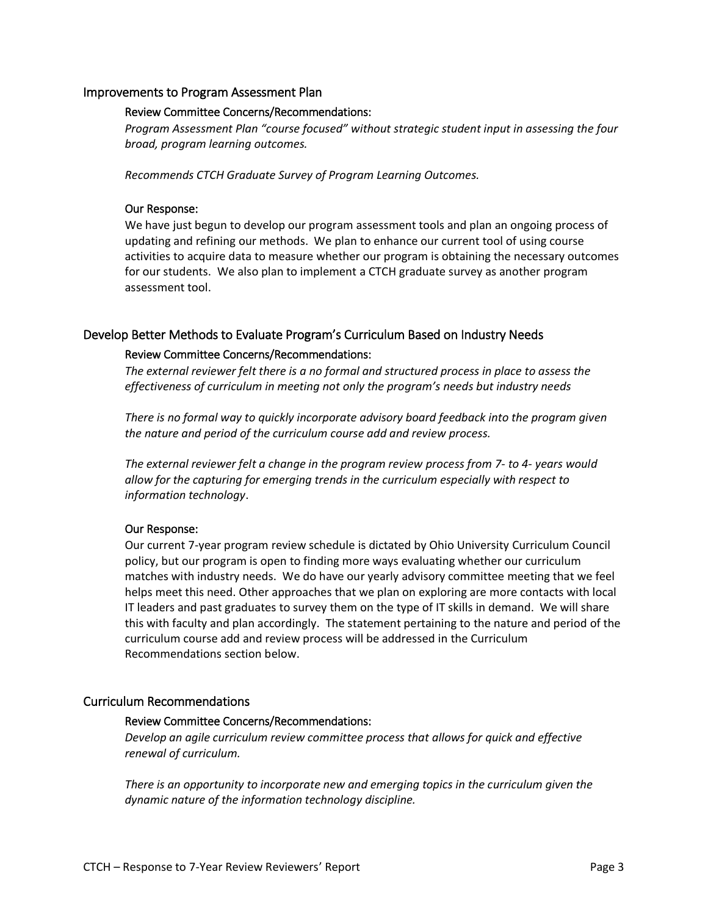## Improvements to Program Assessment Plan

#### Review Committee Concerns/Recommendations:

*Program Assessment Plan "course focused" without strategic student input in assessing the four broad, program learning outcomes.*

*Recommends CTCH Graduate Survey of Program Learning Outcomes.*

### Our Response:

We have just begun to develop our program assessment tools and plan an ongoing process of updating and refining our methods. We plan to enhance our current tool of using course activities to acquire data to measure whether our program is obtaining the necessary outcomes for our students. We also plan to implement a CTCH graduate survey as another program assessment tool.

### Develop Better Methods to Evaluate Program's Curriculum Based on Industry Needs

#### Review Committee Concerns/Recommendations:

*The external reviewer felt there is a no formal and structured process in place to assess the effectiveness of curriculum in meeting not only the program's needs but industry needs*

*There is no formal way to quickly incorporate advisory board feedback into the program given the nature and period of the curriculum course add and review process.*

*The external reviewer felt a change in the program review process from 7- to 4- years would allow for the capturing for emerging trends in the curriculum especially with respect to information technology*.

## Our Response:

Our current 7-year program review schedule is dictated by Ohio University Curriculum Council policy, but our program is open to finding more ways evaluating whether our curriculum matches with industry needs. We do have our yearly advisory committee meeting that we feel helps meet this need. Other approaches that we plan on exploring are more contacts with local IT leaders and past graduates to survey them on the type of IT skills in demand. We will share this with faculty and plan accordingly. The statement pertaining to the nature and period of the curriculum course add and review process will be addressed in the Curriculum Recommendations section below.

### Curriculum Recommendations

#### Review Committee Concerns/Recommendations:

*Develop an agile curriculum review committee process that allows for quick and effective renewal of curriculum.*

*There is an opportunity to incorporate new and emerging topics in the curriculum given the dynamic nature of the information technology discipline.*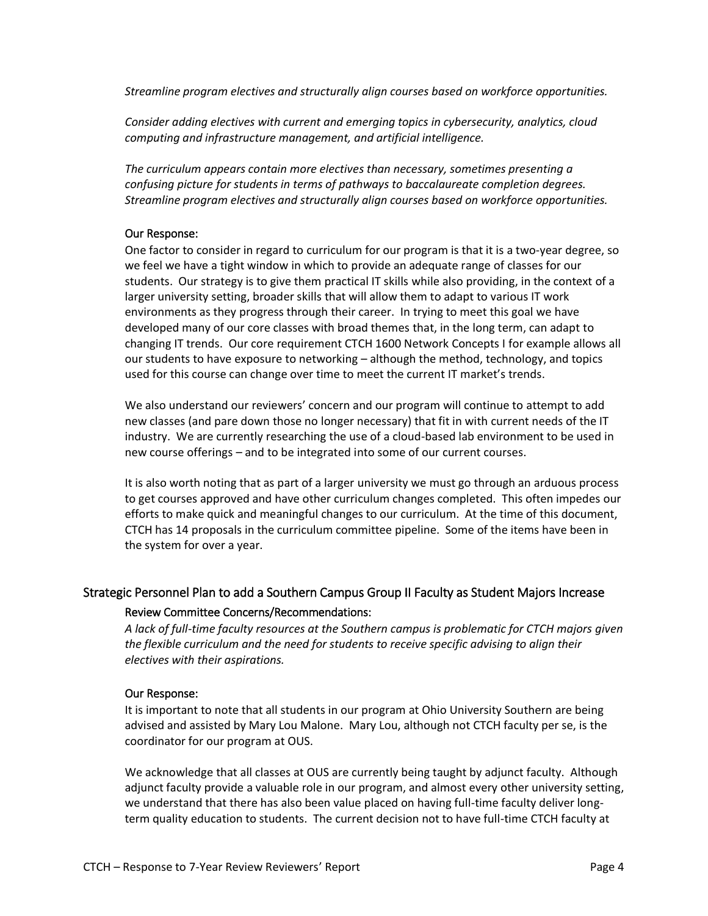*Streamline program electives and structurally align courses based on workforce opportunities.*

*Consider adding electives with current and emerging topics in cybersecurity, analytics, cloud computing and infrastructure management, and artificial intelligence.*

*The curriculum appears contain more electives than necessary, sometimes presenting a confusing picture for students in terms of pathways to baccalaureate completion degrees. Streamline program electives and structurally align courses based on workforce opportunities.*

## Our Response:

One factor to consider in regard to curriculum for our program is that it is a two-year degree, so we feel we have a tight window in which to provide an adequate range of classes for our students. Our strategy is to give them practical IT skills while also providing, in the context of a larger university setting, broader skills that will allow them to adapt to various IT work environments as they progress through their career. In trying to meet this goal we have developed many of our core classes with broad themes that, in the long term, can adapt to changing IT trends. Our core requirement CTCH 1600 Network Concepts I for example allows all our students to have exposure to networking – although the method, technology, and topics used for this course can change over time to meet the current IT market's trends.

We also understand our reviewers' concern and our program will continue to attempt to add new classes (and pare down those no longer necessary) that fit in with current needs of the IT industry. We are currently researching the use of a cloud-based lab environment to be used in new course offerings – and to be integrated into some of our current courses.

It is also worth noting that as part of a larger university we must go through an arduous process to get courses approved and have other curriculum changes completed. This often impedes our efforts to make quick and meaningful changes to our curriculum. At the time of this document, CTCH has 14 proposals in the curriculum committee pipeline. Some of the items have been in the system for over a year.

# Strategic Personnel Plan to add a Southern Campus Group II Faculty as Student Majors Increase

# Review Committee Concerns/Recommendations:

*A lack of full-time faculty resources at the Southern campus is problematic for CTCH majors given the flexible curriculum and the need for students to receive specific advising to align their electives with their aspirations.*

# Our Response:

It is important to note that all students in our program at Ohio University Southern are being advised and assisted by Mary Lou Malone. Mary Lou, although not CTCH faculty per se, is the coordinator for our program at OUS.

We acknowledge that all classes at OUS are currently being taught by adjunct faculty. Although adjunct faculty provide a valuable role in our program, and almost every other university setting, we understand that there has also been value placed on having full-time faculty deliver longterm quality education to students. The current decision not to have full-time CTCH faculty at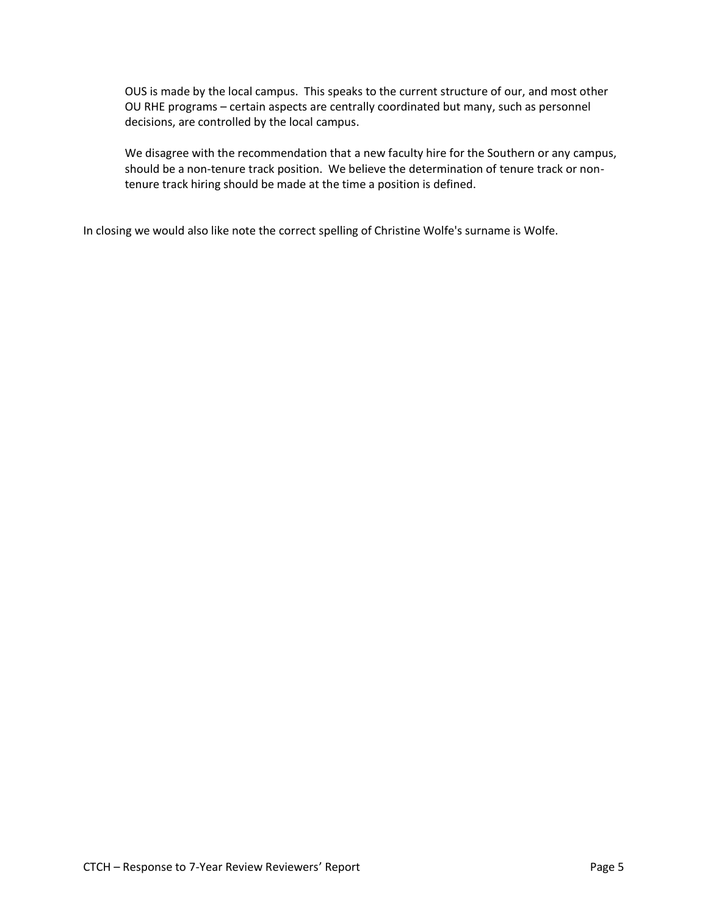OUS is made by the local campus. This speaks to the current structure of our, and most other OU RHE programs – certain aspects are centrally coordinated but many, such as personnel decisions, are controlled by the local campus.

We disagree with the recommendation that a new faculty hire for the Southern or any campus, should be a non-tenure track position. We believe the determination of tenure track or nontenure track hiring should be made at the time a position is defined.

In closing we would also like note the correct spelling of Christine Wolfe's surname is Wolfe.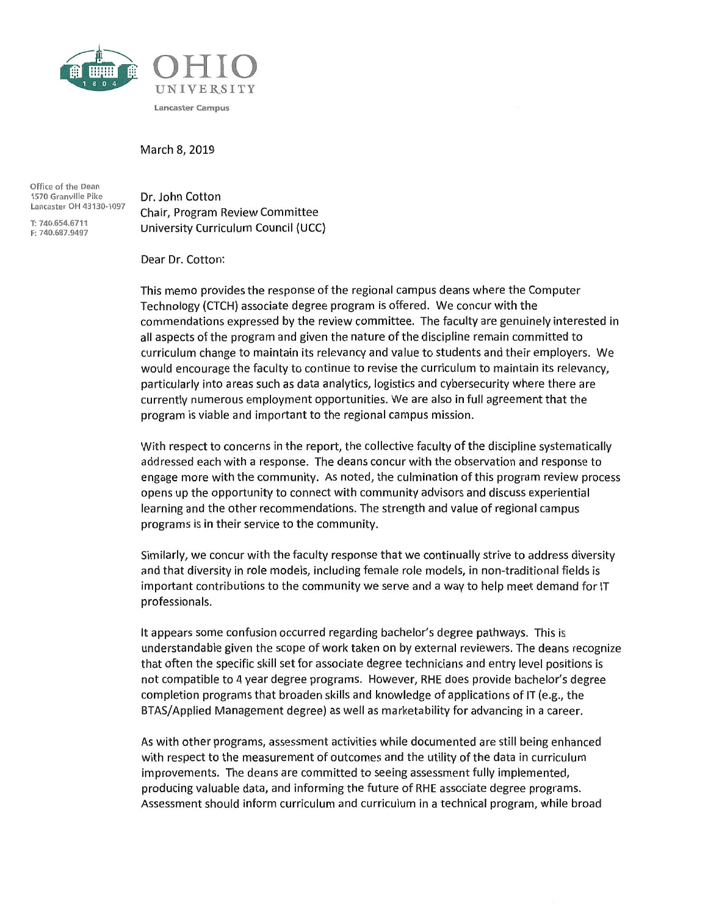

March 8, 2019

Office of the Dean 1570 Granville Pike Lancaster OH 43130-1097

T: 740.654.6711 F: 740.687.9497 Dr. John Cotton Chair, Program Review Committee University Curriculum Council (UCC)

Dear Dr. Cotton:

This memo provides the response of the regional campus deans where the Computer Technology (CTCH) associate degree program is offered. We concur with the commendations expressed by the review committee. The faculty are genuinely interested in all aspects of the program and given the nature of the discipline remain committed to curriculum change to maintain its relevancy and value to students and their employers. We would encourage the faculty to continue to revise the curriculum to maintain its relevancy, particularly into areas such as data analytics, logistics and cybersecurity where there are currently numerous employment opportunities. We are also in full agreement that the program is viable and important to the regional campus mission.

With respect to concerns in the report, the collective faculty of the discipline systematically addressed each with a response. The deans concur with the observation and response to engage more with the community. As noted, the culmination of this program review process opens up the opportunity to connect with community advisors and discuss experiential learning and the other recommendations. The strength and value of regional campus programs is in their service to the community.

Similarly, we concur with the faculty response that we continually strive to address diversity and that diversity in role models, including female role models, in non-traditional fields is important contributions to the community we serve and a way to help meet demand for IT professionals.

It appears some confusion occurred regarding bachelor's degree pathways. This is understandable given the scope of work taken on by external reviewers. The deans recognize that often the specific skill set for associate degree technicians and entry level positions is not compatible to 4 year degree programs. However, RHE does provide bachelor's degree completion programs that broaden skills and knowledge of applications of IT (e.g., the BTAS/Applied Management degree) as well as marketability for advancing in a career.

As with other programs, assessment activities while documented are still being enhanced with respect to the measurement of outcomes and the utility of the data in curriculum improvements. The deans are committed to seeing assessment fully implemented, producing valuable data, and informing the future of RHE associate degree programs. Assessment should inform curriculum and curriculum in a technical program, while broad